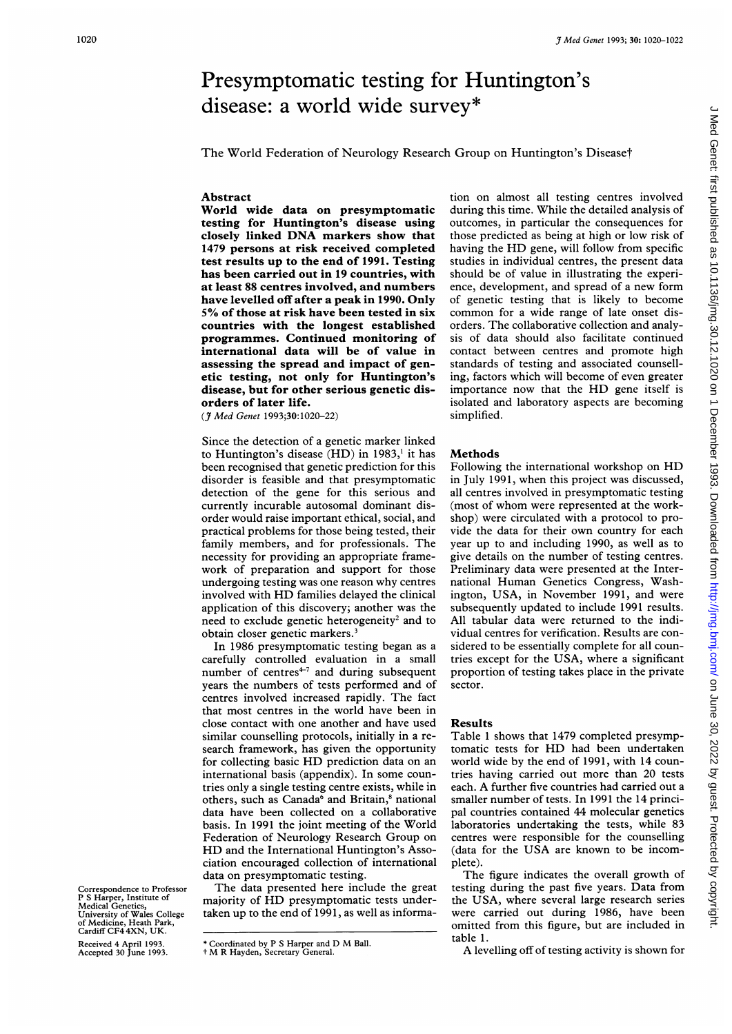# <sup>3 Med Genet 1993; 30: 1020-1022</sup><br>Presymptomatic testing for Huntington's<br>disease: a world wide survey\* Presymptomatic testing for Huntington's disease: a world wide survey\*

The World Federation of Neurology Research Group on Huntington's Disease†

## Abstract

World wide data on presymptomatic testing for Huntington's disease using closely linked DNA markers show that 1479 persons at risk received completed test results up to the end of 1991. Testing has been carried out in 19 countries, with at least 88 centres involved, and numbers have levelled off after a peak in 1990. Only 5% of those at risk have been tested in six countries with the longest established programmes. Continued monitoring of international data will be of value in assessing the spread and impact of genetic testing, not only for Huntington's disease, but for other serious genetic disorders of later life.

(\_J Med Genet 1993;30:1020-22)

Since the detection of a genetic marker linked to Huntington's disease  $(HD)$  in 1983,<sup>1</sup> it has been recognised that genetic prediction for this disorder is feasible and that presymptomatic detection of the gene for this serious and currently incurable autosomal dominant disorder would raise important ethical, social, and practical problems for those being tested, their family members, and for professionals. The necessity for providing an appropriate framework of preparation and support for those undergoing testing was one reason why centres involved with HD families delayed the clinical application of this discovery; another was the need to exclude genetic heterogeneity<sup>2</sup> and to obtain closer genetic markers.<sup>3</sup>

In 1986 presymptomatic testing began as a carefully controlled evaluation in a small number of centres $+7$  and during subsequent years the numbers of tests performed and of centres involved increased rapidly. The fact that most centres in the world have been in close contact with one another and have used similar counselling protocols, initially in a research framework, has given the opportunity for collecting basic HD prediction data on an international basis (appendix). In some countries only a single testing centre exists, while in others, such as Canada<sup>6</sup> and Britain,<sup>8</sup> national data have been collected on a collaborative basis. In 1991 the joint meeting of the World Federation of Neurology Research Group on HD and the International Huntington's Association encouraged collection of international data on presymptomatic testing.

The data presented here include the great majority of HD presymptomatic tests undertaken up to the end of 1991, as well as information on almost all testing centres involved during this time. While the detailed analysis of outcomes, in particular the consequences for those predicted as being at high or low risk of having the HD gene, will follow from specific studies in individual centres, the present data should be of value in illustrating the experience, development, and spread of <sup>a</sup> new form of genetic testing that is likely to become common for <sup>a</sup> wide range of late onset disorders. The collaborative collection and analysis of data should also facilitate continued contact between centres and promote high standards of testing and associated counselling, factors which will become of even greater importance now that the HD gene itself is isolated and laboratory aspects are becoming simplified.

### Methods

Following the international workshop on HD in July 1991, when this project was discussed, all centres involved in presymptomatic testing (most of whom were represented at the workshop) were circulated with a protocol to provide the data for their own country for each year up to and including 1990, as well as to give details on the number of testing centres. Preliminary data were presented at the International Human Genetics Congress, Washington, USA, in November 1991, and were subsequently updated to include 1991 results. All tabular data were returned to the individual centres for verification. Results are considered to be essentially complete for all countries except for the USA, where <sup>a</sup> significant proportion of testing takes place in the private sector.

### Results

Table <sup>1</sup> shows that 1479 completed presymptomatic tests for HD had been undertaken world wide by the end of 1991, with 14 countries having carried out more than 20 tests each. A further five countries had carried out <sup>a</sup> smaller number of tests. In 1991 the 14 principal countries contained 44 molecular genetics laboratories undertaking the tests, while 83 centres were responsible for the counselling (data for the USA are known to be incomplete).

The figure indicates the overall growth of testing during the past five years. Data from the USA, where several large research series were carried out during 1986, have been omitted from this figure, but are included in table 1.

A levelling off of testing activity is shown for

# Correspondence to Professor P S Harper, Institute of Medical Genetics, University of Wales College of Medicine, Heath Park, Cardiff CF4 4XN, UK.

Received 4 April 1993. Accepted 30 June 1993.

<sup>\*</sup> Coordinated by <sup>P</sup> <sup>S</sup> Harper and D M Ball. <sup>t</sup> M R Hayden, Secretary General.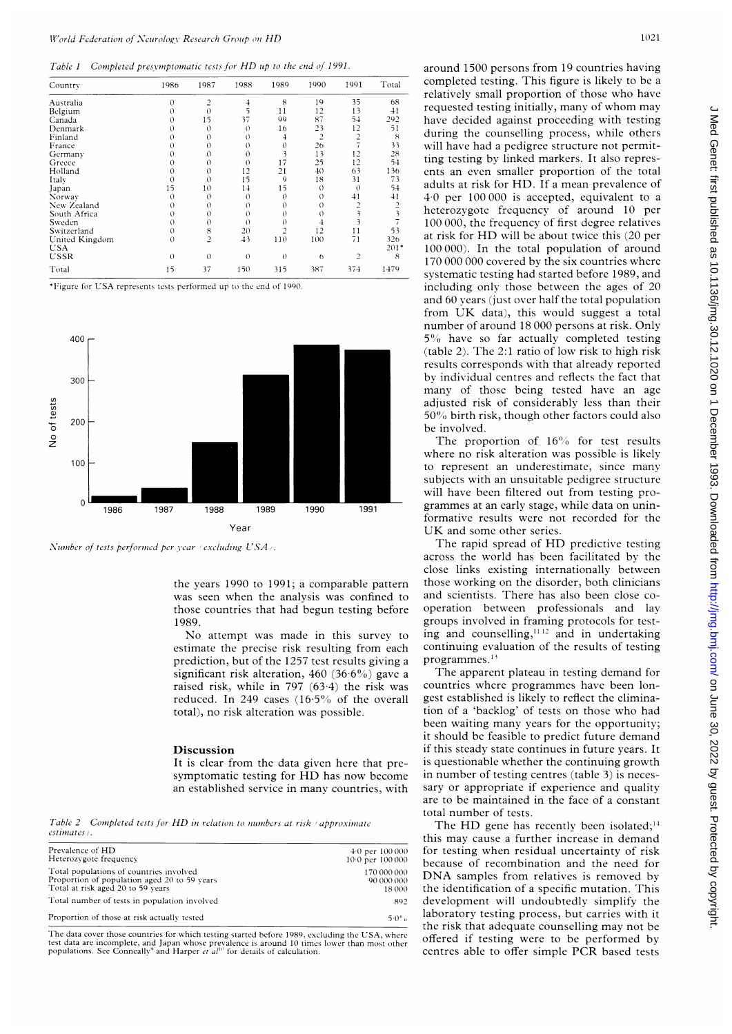Table 1 Completed presymptomatic tests for HD up to the end of 1991.

| Country        | 1986     | 1987           | 1988     | 1989     | 1990           | 1991                    | Total |
|----------------|----------|----------------|----------|----------|----------------|-------------------------|-------|
| Australia      | 0        | 2              | 4        | 8        | 19             | 35                      | 68    |
| Belgium        | 0        | 0              | 5        | 11       | 12             | 13                      | 41    |
| Canada         | 0        | 15             | 37       | 99       | 87             | 54                      | 292   |
| Denmark        |          | 0              | $\theta$ | 16       | 23             | 12                      | 51    |
| Finland        | O        | 0              | 0        | 4        | $\overline{c}$ | 2                       | 8     |
| France         |          | 0              | 0        | 0        | 26             |                         | 33    |
| Germany        | $\Omega$ | 0              | $\theta$ | 3        | 13             | 12                      | 28    |
| Greece         | 0        | 0              | $\theta$ | 17       | 25             | 12                      | 54    |
| Holland        | $\Omega$ | 0              | 12       | 21       | 40             | 63                      | 136   |
| Italy          | 0        | $\theta$       | 15       | 9        | 18             | 31                      | 73    |
| Japan          | 15       | 10             | 14       | 15       | $\Omega$       | 0                       | 54    |
| Norway         | $\Omega$ | $\theta$       | $\theta$ | $\theta$ | $^{()}$        | 41                      | 41    |
| New Zealand    | 0        | 0              | $\theta$ | 0        | 0              | າ                       | 2     |
| South Africa   | $\Omega$ | 0              | $\theta$ | 0        | 0              |                         | 3     |
| Sweden         | $\theta$ | $\theta$       | $\theta$ | $\theta$ | 4              |                         |       |
| Switzerland    | $\theta$ | 8              | 20       | 2        | 12             | 11                      | 53    |
| United Kingdom | $\Omega$ | $\overline{c}$ | 43       | 110      | 100            | 71                      | 326   |
| USA            |          |                |          |          |                |                         | 201'  |
| USSR           | $\theta$ | $\Omega$       | $\theta$ | $\theta$ | 6              | $\overline{\mathbf{c}}$ | 8     |
| Total          | 15       | 37             | 150      | 315      | 387            | 374                     | 1479  |

\*Figure for USA represents tests performed up to the end of 1990.



Number of tests performed per year (excluding USA).

the years 1990 to 1991; a comparable pattern was seen when the analysis was confined to those countries that had begun testing before 1989.

No attempt was made in this survey estimate the precise risk resulting from ea prediction, but of the 1257 test results giving a significant risk alteration,  $460$  ( $36.6\%$ ) gave a raised risk, while in 797  $(63.4)$  the risk was reduced. In 249 cases  $(16.5\% \text{ of the overall})$ total), no risk alteration was possible.

### Discussion

It is clear from the data given here that presymptomatic testing for HD has now become an established service in many countries, wi

Table 2 Completed tests for HD in relation to numbers at risk (approximate estimates).

| Prevalence of HD                             | $4.0$ per $100000$  |
|----------------------------------------------|---------------------|
| Heterozygote frequency                       | $10.0$ per $100000$ |
| Total populations of countries involved      | 170 000 000         |
| Proportion of population aged 20 to 59 years | 90 000 000          |
| Total at risk aged 20 to 59 years            | 18 000              |
| Total number of tests in population involved | 892                 |
| Proportion of those at risk actually tested  | $5.0\%$             |

The data cover those countries for which testing started before 1989, excluding the USA, where test data are incomplete, and Japan whose prevalence is around 10 times lower than most oth<br>populations. See Conneally° and Harper *et al*l'' for details of calculation.

around 1500 persons from 19 countries having completed testing. This figure is likely to be a relatively small proportion of those who have requested testing initially, many of whom may have decided against proceeding with testing during the counselling process, while others will have had a pedigree structure not permitting testing by linked markers. It also represents an even smaller proportion of the total adults at risk for HD. If a mean prevalence of <sup>1</sup> 40 per 100 000 is accepted, equivalent to <sup>a</sup> heterozygote frequency of around 10 per 100 000, the frequency of first degree relatives at risk for HD will be about twice this (20 per  $100 000$ ). In the total population of around 170 000 000 covered by the six countries where systematic testing had started before 1989, and including only those between the ages of 20 and 60 years (just over half the total population from UK data), this would suggest <sup>a</sup> total number of around 18 000 persons at risk. Only 5% have so far actually completed testing (table 2). The 2:1 ratio of low risk to high risk results corresponds with that already reported by individual centres and reflects the fact that many of those being tested have an age adjusted risk of considerably less than their 50% birth risk, though other factors could also be involved.

The proportion of  $16\%$  for test results where no risk alteration was possible is likely to represent an underestimate, since many subjects with an unsuitable pedigree structure will have been filtered out from testing pro grammes at an early stage, while data on uninformative results were not recorded for the UK and some other series.

The rapid spread of HD predictive testing across the world has been facilitated by the close links existing internationally between those working on the disorder, both clinicians and scientists. There has also been close cooperation between professionals and lay groups involved in framing protocols for testing and counselling,  $112$  and in undertaking continuing evaluation of the results of testing programmes.<sup>13</sup>

The apparent plateau in testing demand for countries where programmes have been longest established is likely to reflect the elimination of a 'backlog' of tests on those who had been waiting many years for the opportunity; it should be feasible to predict future demand if this steady state continues in future years. It is questionable whether the continuing growth in number of testing centres (table  $3$ ) is necessary or appropriate if experience and quality are to be maintained in the face of a constant total number of tests.

The HD gene has recently been isolated;<sup>14</sup> this may cause <sup>a</sup> further increase in demand for testing when residual uncertainty of risk because of recombination and the need for DNA samples from relatives is removed by the identification of a specific mutation. This development will undoubtedly simplify the laboratory testing process, but carries with it the risk that adequate counselling may not be offered if testing were to be performed by centres able to offer simple PCR based tests